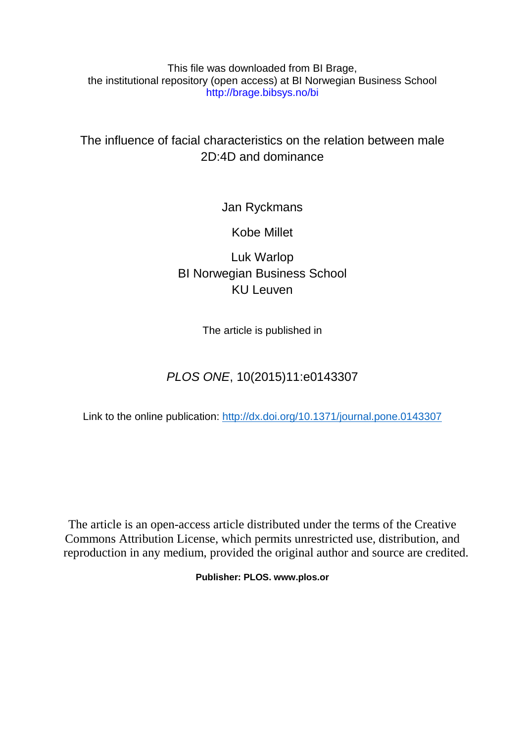This file was downloaded from BI Brage, the institutional repository (open access) at BI Norwegian Business School http://brage.bibsys.no/bi

The influence of facial characteristics on the relation between male 2D:4D and dominance

Jan Ryckmans

Kobe Millet

Luk Warlop BI Norwegian Business School KU Leuven

The article is published in

# *PLOS ONE*, 10(2015)11:e0143307

Link to the online publication:<http://dx.doi.org/10.1371/journal.pone.0143307>

The article is an open-access article distributed under the terms of the Creative Commons Attribution License, which permits unrestricted use, distribution, and reproduction in any medium, provided the original author and source are credited.

**Publisher: PLOS. www.plos.or**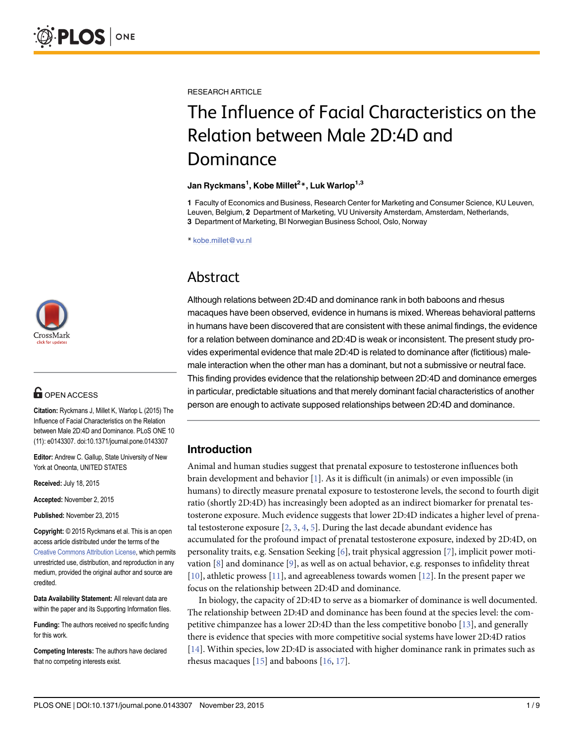

## **G** OPEN ACCESS

Citation: Ryckmans J, Millet K, Warlop L (2015) The Influence of Facial Characteristics on the Relation between Male 2D:4D and Dominance. PLoS ONE 10 (11): e0143307. doi:10.1371/journal.pone.0143307

Editor: Andrew C. Gallup, State University of New York at Oneonta, UNITED STATES

Received: July 18, 2015

Accepted: November 2, 2015

Published: November 23, 2015

Copyright: © 2015 Ryckmans et al. This is an open access article distributed under the terms of the [Creative Commons Attribution License,](http://creativecommons.org/licenses/by/4.0/) which permits unrestricted use, distribution, and reproduction in any medium, provided the original author and source are credited.

Data Availability Statement: All relevant data are within the paper and its Supporting Information files.

Funding: The authors received no specific funding for this work.

Competing Interests: The authors have declared that no competing interests exist.

<span id="page-1-0"></span>RESEARCH ARTICLE

# The Influence of Facial Characteristics on the Relation between Male 2D:4D and Dominance

#### Jan Ryckmans<sup>1</sup>, Kobe Millet<sup>2</sup>\*, Luk Warlop<sup>1,3</sup>

1 Faculty of Economics and Business, Research Center for Marketing and Consumer Science, KU Leuven, Leuven, Belgium, 2 Department of Marketing, VU University Amsterdam, Amsterdam, Netherlands, 3 Department of Marketing, BI Norwegian Business School, Oslo, Norway

\* kobe.millet@vu.nl

## Abstract

Although relations between 2D:4D and dominance rank in both baboons and rhesus macaques have been observed, evidence in humans is mixed. Whereas behavioral patterns in humans have been discovered that are consistent with these animal findings, the evidence for a relation between dominance and 2D:4D is weak or inconsistent. The present study provides experimental evidence that male 2D:4D is related to dominance after (fictitious) malemale interaction when the other man has a dominant, but not a submissive or neutral face. This finding provides evidence that the relationship between 2D:4D and dominance emerges in particular, predictable situations and that merely dominant facial characteristics of another person are enough to activate supposed relationships between 2D:4D and dominance.

## Introduction

Animal and human studies suggest that prenatal exposure to testosterone influences both brain development and behavior  $[1]$  $[1]$  $[1]$ . As it is difficult (in animals) or even impossible (in humans) to directly measure prenatal exposure to testosterone levels, the second to fourth digit ratio (shortly 2D:4D) has increasingly been adopted as an indirect biomarker for prenatal testosterone exposure. Much evidence suggests that lower 2D:4D indicates a higher level of prenatal testosterone exposure  $[2, 3, 4, 5]$  $[2, 3, 4, 5]$  $[2, 3, 4, 5]$  $[2, 3, 4, 5]$  $[2, 3, 4, 5]$  $[2, 3, 4, 5]$  $[2, 3, 4, 5]$  $[2, 3, 4, 5]$  $[2, 3, 4, 5]$ . During the last decade abundant evidence has accumulated for the profound impact of prenatal testosterone exposure, indexed by 2D:4D, on personality traits, e.g. Sensation Seeking [\[6](#page-6-0)], trait physical aggression [[7](#page-6-0)], implicit power motivation  $[8]$  $[8]$  $[8]$  and dominance  $[9]$  $[9]$ , as well as on actual behavior, e.g. responses to infidelity threat [\[10](#page-7-0)], athletic prowess [\[11\]](#page-7-0), and agreeableness towards women [[12](#page-7-0)]. In the present paper we focus on the relationship between 2D:4D and dominance.

In biology, the capacity of 2D:4D to serve as a biomarker of dominance is well documented. The relationship between 2D:4D and dominance has been found at the species level: the competitive chimpanzee has a lower 2D:4D than the less competitive bonobo [[13](#page-7-0)], and generally there is evidence that species with more competitive social systems have lower 2D:4D ratios [\[14](#page-7-0)]. Within species, low 2D:4D is associated with higher dominance rank in primates such as rhesus macaques  $[15]$  $[15]$  $[15]$  and baboons  $[16, 17]$  $[16, 17]$  $[16, 17]$ .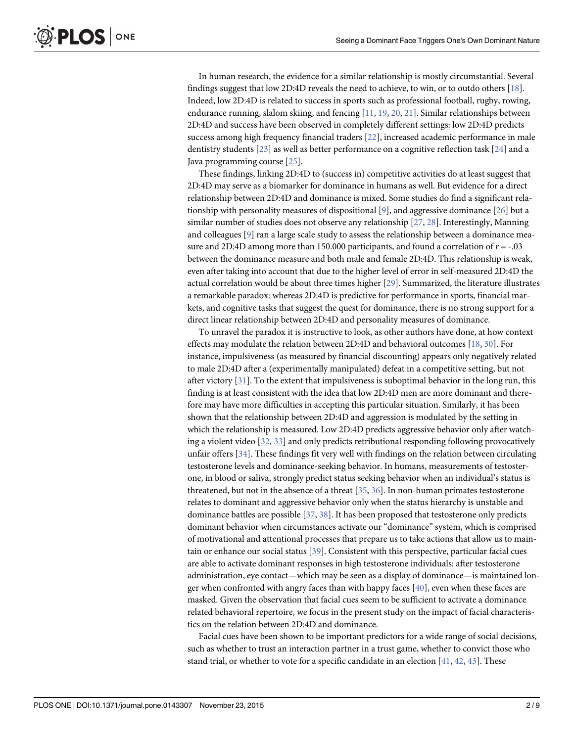<span id="page-2-0"></span>PLOS ONE

In human research, the evidence for a similar relationship is mostly circumstantial. Several findings suggest that low 2D:4D reveals the need to achieve, to win, or to outdo others [[18](#page-7-0)]. Indeed, low 2D:4D is related to success in sports such as professional football, rugby, rowing, endurance running, slalom skiing, and fencing  $[11, 19, 20, 21]$  $[11, 19, 20, 21]$  $[11, 19, 20, 21]$  $[11, 19, 20, 21]$  $[11, 19, 20, 21]$  $[11, 19, 20, 21]$  $[11, 19, 20, 21]$ . Similar relationships between 2D:4D and success have been observed in completely different settings: low 2D:4D predicts success among high frequency financial traders [\[22\]](#page-7-0), increased academic performance in male dentistry students [[23](#page-7-0)] as well as better performance on a cognitive reflection task [[24](#page-7-0)] and a Java programming course [[25](#page-7-0)].

These findings, linking 2D:4D to (success in) competitive activities do at least suggest that 2D:4D may serve as a biomarker for dominance in humans as well. But evidence for a direct relationship between 2D:4D and dominance is mixed. Some studies do find a significant rela-tionship with personality measures of dispositional [\[9](#page-7-0)], and aggressive dominance [\[26](#page-7-0)] but a similar number of studies does not observe any relationship [\[27](#page-7-0), [28](#page-7-0)]. Interestingly, Manning and colleagues [\[9\]](#page-7-0) ran a large scale study to assess the relationship between a dominance measure and 2D:4D among more than 150.000 participants, and found a correlation of  $r = -0.03$ between the dominance measure and both male and female 2D:4D. This relationship is weak, even after taking into account that due to the higher level of error in self-measured 2D:4D the actual correlation would be about three times higher [\[29\]](#page-7-0). Summarized, the literature illustrates a remarkable paradox: whereas 2D:4D is predictive for performance in sports, financial markets, and cognitive tasks that suggest the quest for dominance, there is no strong support for a direct linear relationship between 2D:4D and personality measures of dominance.

To unravel the paradox it is instructive to look, as other authors have done, at how context effects may modulate the relation between 2D:4D and behavioral outcomes [[18](#page-7-0), [30](#page-8-0)]. For instance, impulsiveness (as measured by financial discounting) appears only negatively related to male 2D:4D after a (experimentally manipulated) defeat in a competitive setting, but not after victory [[31](#page-8-0)]. To the extent that impulsiveness is suboptimal behavior in the long run, this finding is at least consistent with the idea that low 2D:4D men are more dominant and therefore may have more difficulties in accepting this particular situation. Similarly, it has been shown that the relationship between 2D:4D and aggression is modulated by the setting in which the relationship is measured. Low 2D:4D predicts aggressive behavior only after watching a violent video [\[32,](#page-8-0) [33\]](#page-8-0) and only predicts retributional responding following provocatively unfair offers [\[34\]](#page-8-0). These findings fit very well with findings on the relation between circulating testosterone levels and dominance-seeking behavior. In humans, measurements of testosterone, in blood or saliva, strongly predict status seeking behavior when an individual's status is threatened, but not in the absence of a threat  $[35, 36]$  $[35, 36]$  $[35, 36]$ . In non-human primates testosterone relates to dominant and aggressive behavior only when the status hierarchy is unstable and dominance battles are possible [\[37](#page-8-0), [38](#page-8-0)]. It has been proposed that testosterone only predicts dominant behavior when circumstances activate our "dominance" system, which is comprised of motivational and attentional processes that prepare us to take actions that allow us to maintain or enhance our social status [[39](#page-8-0)]. Consistent with this perspective, particular facial cues are able to activate dominant responses in high testosterone individuals: after testosterone administration, eye contact—which may be seen as a display of dominance—is maintained longer when confronted with angry faces than with happy faces  $[40]$ , even when these faces are masked. Given the observation that facial cues seem to be sufficient to activate a dominance related behavioral repertoire, we focus in the present study on the impact of facial characteristics on the relation between 2D:4D and dominance.

Facial cues have been shown to be important predictors for a wide range of social decisions, such as whether to trust an interaction partner in a trust game, whether to convict those who stand trial, or whether to vote for a specific candidate in an election  $[41, 42, 43]$  $[41, 42, 43]$  $[41, 42, 43]$  $[41, 42, 43]$  $[41, 42, 43]$  $[41, 42, 43]$  $[41, 42, 43]$ . These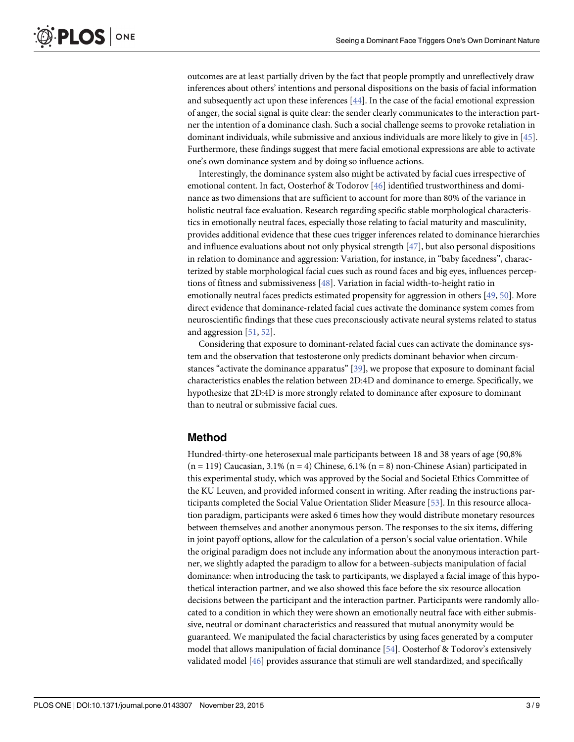<span id="page-3-0"></span>outcomes are at least partially driven by the fact that people promptly and unreflectively draw inferences about others' intentions and personal dispositions on the basis of facial information and subsequently act upon these inferences  $[44]$  $[44]$ . In the case of the facial emotional expression of anger, the social signal is quite clear: the sender clearly communicates to the interaction partner the intention of a dominance clash. Such a social challenge seems to provoke retaliation in dominant individuals, while submissive and anxious individuals are more likely to give in [\[45](#page-8-0)]. Furthermore, these findings suggest that mere facial emotional expressions are able to activate one's own dominance system and by doing so influence actions.

Interestingly, the dominance system also might be activated by facial cues irrespective of emotional content. In fact, Oosterhof & Todorov [[46](#page-8-0)] identified trustworthiness and dominance as two dimensions that are sufficient to account for more than 80% of the variance in holistic neutral face evaluation. Research regarding specific stable morphological characteristics in emotionally neutral faces, especially those relating to facial maturity and masculinity, provides additional evidence that these cues trigger inferences related to dominance hierarchies and influence evaluations about not only physical strength  $[47]$  $[47]$ , but also personal dispositions in relation to dominance and aggression: Variation, for instance, in "baby facedness", characterized by stable morphological facial cues such as round faces and big eyes, influences perceptions of fitness and submissiveness [[48](#page-8-0)]. Variation in facial width-to-height ratio in emotionally neutral faces predicts estimated propensity for aggression in others [\[49,](#page-8-0) [50\]](#page-8-0). More direct evidence that dominance-related facial cues activate the dominance system comes from neuroscientific findings that these cues preconsciously activate neural systems related to status and aggression [[51](#page-8-0), [52](#page-8-0)].

Considering that exposure to dominant-related facial cues can activate the dominance system and the observation that testosterone only predicts dominant behavior when circumstances "activate the dominance apparatus" [\[39\]](#page-8-0), we propose that exposure to dominant facial characteristics enables the relation between 2D:4D and dominance to emerge. Specifically, we hypothesize that 2D:4D is more strongly related to dominance after exposure to dominant than to neutral or submissive facial cues.

#### Method

Hundred-thirty-one heterosexual male participants between 18 and 38 years of age (90,8%  $(n = 119)$  Caucasian, 3.1%  $(n = 4)$  Chinese, 6.1%  $(n = 8)$  non-Chinese Asian) participated in this experimental study, which was approved by the Social and Societal Ethics Committee of the KU Leuven, and provided informed consent in writing. After reading the instructions participants completed the Social Value Orientation Slider Measure [\[53](#page-8-0)]. In this resource allocation paradigm, participants were asked 6 times how they would distribute monetary resources between themselves and another anonymous person. The responses to the six items, differing in joint payoff options, allow for the calculation of a person's social value orientation. While the original paradigm does not include any information about the anonymous interaction partner, we slightly adapted the paradigm to allow for a between-subjects manipulation of facial dominance: when introducing the task to participants, we displayed a facial image of this hypothetical interaction partner, and we also showed this face before the six resource allocation decisions between the participant and the interaction partner. Participants were randomly allocated to a condition in which they were shown an emotionally neutral face with either submissive, neutral or dominant characteristics and reassured that mutual anonymity would be guaranteed. We manipulated the facial characteristics by using faces generated by a computer model that allows manipulation of facial dominance [[54](#page-9-0)]. Oosterhof & Todorov's extensively validated model [[46\]](#page-8-0) provides assurance that stimuli are well standardized, and specifically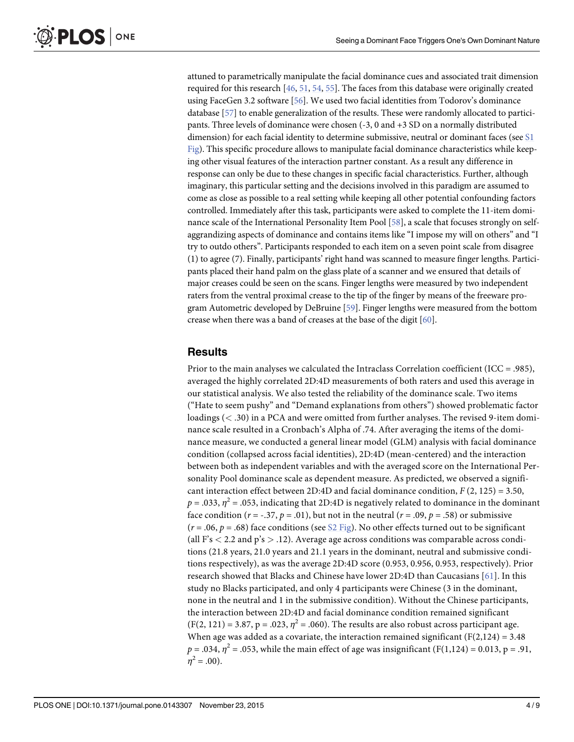<span id="page-4-0"></span>attuned to parametrically manipulate the facial dominance cues and associated trait dimension required for this research [\[46,](#page-8-0) [51,](#page-8-0) [54,](#page-9-0) [55\]](#page-9-0). The faces from this database were originally created using FaceGen 3.2 software [[56](#page-9-0)]. We used two facial identities from Todorov's dominance database [[57](#page-9-0)] to enable generalization of the results. These were randomly allocated to participants. Three levels of dominance were chosen (-3, 0 and +3 SD on a normally distributed dimension) for each facial identity to determine submissive, neutral or dominant faces (see  $S1$ [Fig](#page-6-0)). This specific procedure allows to manipulate facial dominance characteristics while keeping other visual features of the interaction partner constant. As a result any difference in response can only be due to these changes in specific facial characteristics. Further, although imaginary, this particular setting and the decisions involved in this paradigm are assumed to come as close as possible to a real setting while keeping all other potential confounding factors controlled. Immediately after this task, participants were asked to complete the 11-item dominance scale of the International Personality Item Pool [[58](#page-9-0)], a scale that focuses strongly on selfaggrandizing aspects of dominance and contains items like "I impose my will on others" and "I try to outdo others". Participants responded to each item on a seven point scale from disagree (1) to agree (7). Finally, participants' right hand was scanned to measure finger lengths. Participants placed their hand palm on the glass plate of a scanner and we ensured that details of major creases could be seen on the scans. Finger lengths were measured by two independent raters from the ventral proximal crease to the tip of the finger by means of the freeware program Autometric developed by DeBruine [\[59\]](#page-9-0). Finger lengths were measured from the bottom crease when there was a band of creases at the base of the digit [\[60\]](#page-9-0).

#### **Results**

Prior to the main analyses we calculated the Intraclass Correlation coefficient (ICC = .985), averaged the highly correlated 2D:4D measurements of both raters and used this average in our statistical analysis. We also tested the reliability of the dominance scale. Two items ("Hate to seem pushy" and "Demand explanations from others") showed problematic factor loadings (< .30) in a PCA and were omitted from further analyses. The revised 9-item dominance scale resulted in a Cronbach's Alpha of .74. After averaging the items of the dominance measure, we conducted a general linear model (GLM) analysis with facial dominance condition (collapsed across facial identities), 2D:4D (mean-centered) and the interaction between both as independent variables and with the averaged score on the International Personality Pool dominance scale as dependent measure. As predicted, we observed a significant interaction effect between 2D:4D and facial dominance condition,  $F(2, 125) = 3.50$ ,  $p = .033$ ,  $\eta^2 = .053$ , indicating that 2D:4D is negatively related to dominance in the dominant face condition ( $r = -.37$ ,  $p = .01$ ), but not in the neutral ( $r = .09$ ,  $p = .58$ ) or submissive  $(r = .06, p = .68)$  face conditions (see [S2 Fig\)](#page-6-0). No other effects turned out to be significant (all F's  $<$  2.2 and p's  $>$  .12). Average age across conditions was comparable across conditions (21.8 years, 21.0 years and 21.1 years in the dominant, neutral and submissive conditions respectively), as was the average 2D:4D score (0.953, 0.956, 0.953, respectively). Prior research showed that Blacks and Chinese have lower 2D:4D than Caucasians [\[61](#page-9-0)]. In this study no Blacks participated, and only 4 participants were Chinese (3 in the dominant, none in the neutral and 1 in the submissive condition). Without the Chinese participants, the interaction between 2D:4D and facial dominance condition remained significant  $(F(2, 121) = 3.87, p = .023, \eta^2 = .060)$ . The results are also robust across participant age. When age was added as a covariate, the interaction remained significant ( $F(2,124) = 3.48$ )  $p = .034$ ,  $\eta^2 = .053$ , while the main effect of age was insignificant (F(1,124) = 0.013, p = .91,  $n^2 = .00$ ).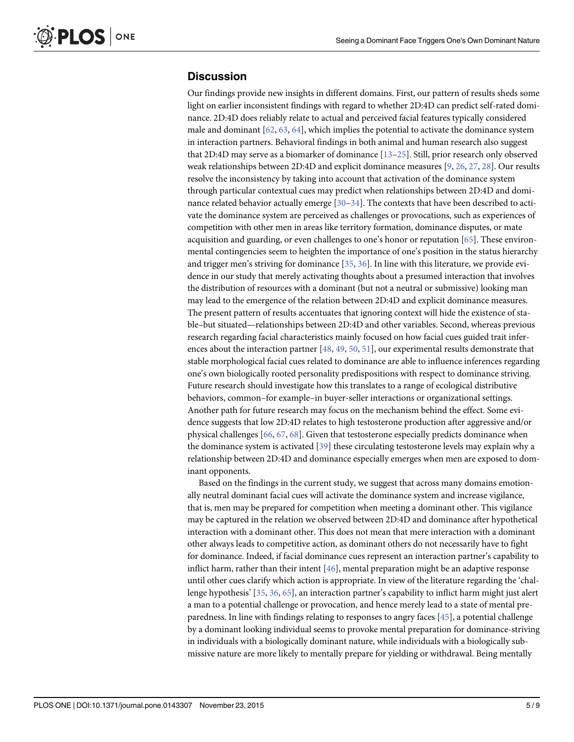#### <span id="page-5-0"></span>**Discussion**

Our findings provide new insights in different domains. First, our pattern of results sheds some light on earlier inconsistent findings with regard to whether 2D:4D can predict self-rated dominance. 2D:4D does reliably relate to actual and perceived facial features typically considered male and dominant [\[62](#page-9-0), [63,](#page-9-0) [64\]](#page-9-0), which implies the potential to activate the dominance system in interaction partners. Behavioral findings in both animal and human research also suggest that 2D:4D may serve as a biomarker of dominance  $[13-25]$  $[13-25]$  $[13-25]$  $[13-25]$ . Still, prior research only observed weak relationships between 2D:4D and explicit dominance measures [\[9,](#page-7-0) [26,](#page-7-0) [27,](#page-7-0) [28\]](#page-7-0). Our results resolve the inconsistency by taking into account that activation of the dominance system through particular contextual cues may predict when relationships between 2D:4D and dominance related behavior actually emerge [\[30](#page-8-0)–[34\]](#page-8-0). The contexts that have been described to activate the dominance system are perceived as challenges or provocations, such as experiences of competition with other men in areas like territory formation, dominance disputes, or mate acquisition and guarding, or even challenges to one's honor or reputation [\[65\]](#page-9-0). These environmental contingencies seem to heighten the importance of one's position in the status hierarchy and trigger men's striving for dominance [[35](#page-8-0), [36](#page-8-0)]. In line with this literature, we provide evidence in our study that merely activating thoughts about a presumed interaction that involves the distribution of resources with a dominant (but not a neutral or submissive) looking man may lead to the emergence of the relation between 2D:4D and explicit dominance measures. The present pattern of results accentuates that ignoring context will hide the existence of stable–but situated—relationships between 2D:4D and other variables. Second, whereas previous research regarding facial characteristics mainly focused on how facial cues guided trait infer-ences about the interaction partner [\[48,](#page-8-0) [49,](#page-8-0) [50,](#page-8-0) [51\]](#page-8-0), our experimental results demonstrate that stable morphological facial cues related to dominance are able to influence inferences regarding one's own biologically rooted personality predispositions with respect to dominance striving. Future research should investigate how this translates to a range of ecological distributive behaviors, common–for example–in buyer-seller interactions or organizational settings. Another path for future research may focus on the mechanism behind the effect. Some evidence suggests that low 2D:4D relates to high testosterone production after aggressive and/or physical challenges [\[66,](#page-9-0) [67,](#page-9-0) [68\]](#page-9-0). Given that testosterone especially predicts dominance when the dominance system is activated [\[39](#page-8-0)] these circulating testosterone levels may explain why a relationship between 2D:4D and dominance especially emerges when men are exposed to dominant opponents.

Based on the findings in the current study, we suggest that across many domains emotionally neutral dominant facial cues will activate the dominance system and increase vigilance, that is, men may be prepared for competition when meeting a dominant other. This vigilance may be captured in the relation we observed between 2D:4D and dominance after hypothetical interaction with a dominant other. This does not mean that mere interaction with a dominant other always leads to competitive action, as dominant others do not necessarily have to fight for dominance. Indeed, if facial dominance cues represent an interaction partner's capability to inflict harm, rather than their intent [\[46\]](#page-8-0), mental preparation might be an adaptive response until other cues clarify which action is appropriate. In view of the literature regarding the 'challenge hypothesis' [\[35](#page-8-0), [36](#page-8-0), [65\]](#page-9-0), an interaction partner's capability to inflict harm might just alert a man to a potential challenge or provocation, and hence merely lead to a state of mental preparedness. In line with findings relating to responses to angry faces [[45](#page-8-0)], a potential challenge by a dominant looking individual seems to provoke mental preparation for dominance-striving in individuals with a biologically dominant nature, while individuals with a biologically submissive nature are more likely to mentally prepare for yielding or withdrawal. Being mentally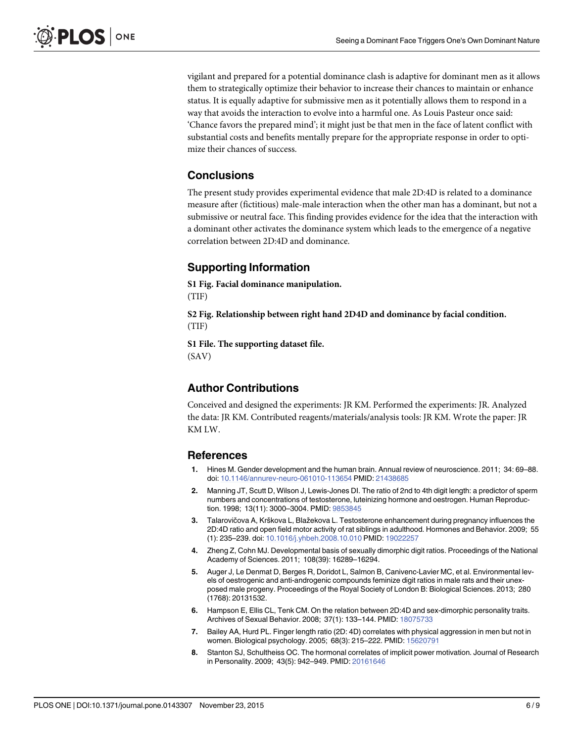<span id="page-6-0"></span>vigilant and prepared for a potential dominance clash is adaptive for dominant men as it allows them to strategically optimize their behavior to increase their chances to maintain or enhance status. It is equally adaptive for submissive men as it potentially allows them to respond in a way that avoids the interaction to evolve into a harmful one. As Louis Pasteur once said: 'Chance favors the prepared mind'; it might just be that men in the face of latent conflict with substantial costs and benefits mentally prepare for the appropriate response in order to optimize their chances of success.

#### **Conclusions**

The present study provides experimental evidence that male 2D:4D is related to a dominance measure after (fictitious) male-male interaction when the other man has a dominant, but not a submissive or neutral face. This finding provides evidence for the idea that the interaction with a dominant other activates the dominance system which leads to the emergence of a negative correlation between 2D:4D and dominance.

### Supporting Information

[S1 Fig.](http://www.plosone.org/article/fetchSingleRepresentation.action?uri=info:doi/10.1371/journal.pone.0143307.s001) Facial dominance manipulation. (TIF)

[S2 Fig.](http://www.plosone.org/article/fetchSingleRepresentation.action?uri=info:doi/10.1371/journal.pone.0143307.s002) Relationship between right hand 2D4D and dominance by facial condition. (TIF)

[S1 File.](http://www.plosone.org/article/fetchSingleRepresentation.action?uri=info:doi/10.1371/journal.pone.0143307.s003) The supporting dataset file. (SAV)

#### Author Contributions

Conceived and designed the experiments: JR KM. Performed the experiments: JR. Analyzed the data: JR KM. Contributed reagents/materials/analysis tools: JR KM. Wrote the paper: JR KM LW.

#### References

- [1.](#page-1-0) Hines M. Gender development and the human brain. Annual review of neuroscience. 2011; 34: 69–88. doi: [10.1146/annurev-neuro-061010-113654](http://dx.doi.org/10.1146/annurev-neuro-061010-113654) PMID: [21438685](http://www.ncbi.nlm.nih.gov/pubmed/21438685)
- [2.](#page-1-0) Manning JT, Scutt D, Wilson J, Lewis-Jones DI. The ratio of 2nd to 4th digit length: a predictor of sperm numbers and concentrations of testosterone, luteinizing hormone and oestrogen. Human Reproduction. 1998; 13(11): 3000–3004. PMID: [9853845](http://www.ncbi.nlm.nih.gov/pubmed/9853845)
- [3.](#page-1-0) Talarovičova A, Krškova L, Blažekova L. Testosterone enhancement during pregnancy influences the 2D:4D ratio and open field motor activity of rat siblings in adulthood. Hormones and Behavior. 2009; 55 (1): 235–239. doi: [10.1016/j.yhbeh.2008.10.010](http://dx.doi.org/10.1016/j.yhbeh.2008.10.010) PMID: [19022257](http://www.ncbi.nlm.nih.gov/pubmed/19022257)
- [4.](#page-1-0) Zheng Z, Cohn MJ. Developmental basis of sexually dimorphic digit ratios. Proceedings of the National Academy of Sciences. 2011; 108(39): 16289–16294.
- [5.](#page-1-0) Auger J, Le Denmat D, Berges R, Doridot L, Salmon B, Canivenc-Lavier MC, et al. Environmental levels of oestrogenic and anti-androgenic compounds feminize digit ratios in male rats and their unexposed male progeny. Proceedings of the Royal Society of London B: Biological Sciences. 2013; 280 (1768): 20131532.
- [6.](#page-1-0) Hampson E, Ellis CL, Tenk CM. On the relation between 2D:4D and sex-dimorphic personality traits. Archives of Sexual Behavior. 2008; 37(1): 133–144. PMID: [18075733](http://www.ncbi.nlm.nih.gov/pubmed/18075733)
- [7.](#page-1-0) Bailey AA, Hurd PL. Finger length ratio (2D: 4D) correlates with physical aggression in men but not in women. Biological psychology. 2005; 68(3): 215–222. PMID: [15620791](http://www.ncbi.nlm.nih.gov/pubmed/15620791)
- [8.](#page-1-0) Stanton SJ, Schultheiss OC. The hormonal correlates of implicit power motivation. Journal of Research in Personality. 2009; 43(5): 942–949. PMID: [20161646](http://www.ncbi.nlm.nih.gov/pubmed/20161646)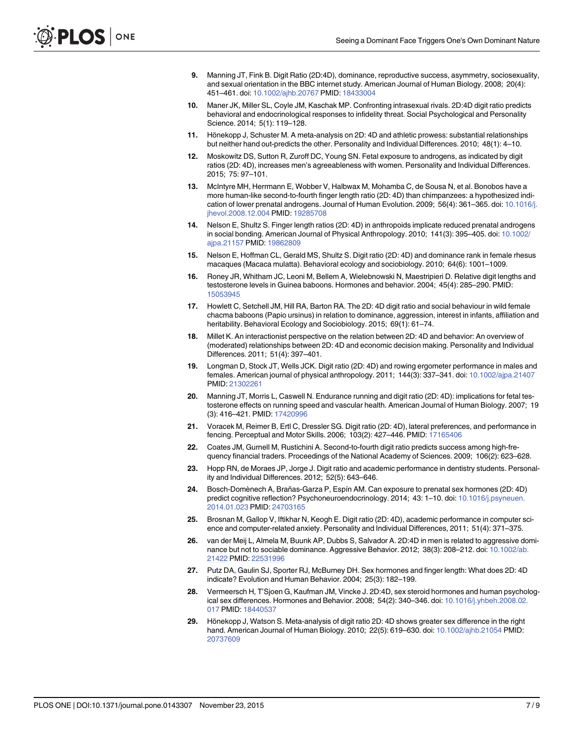- <span id="page-7-0"></span>[9.](#page-1-0) Manning JT, Fink B. Digit Ratio (2D:4D), dominance, reproductive success, asymmetry, sociosexuality, and sexual orientation in the BBC internet study. American Journal of Human Biology. 2008; 20(4): 451–461. doi: [10.1002/ajhb.20767](http://dx.doi.org/10.1002/ajhb.20767) PMID: [18433004](http://www.ncbi.nlm.nih.gov/pubmed/18433004)
- [10.](#page-1-0) Maner JK, Miller SL, Coyle JM, Kaschak MP. Confronting intrasexual rivals. 2D:4D digit ratio predicts behavioral and endocrinological responses to infidelity threat. Social Psychological and Personality Science. 2014; 5(1): 119–128.
- [11.](#page-1-0) Hönekopp J, Schuster M. A meta-analysis on 2D: 4D and athletic prowess: substantial relationships but neither hand out-predicts the other. Personality and Individual Differences. 2010; 48(1): 4–10.
- [12.](#page-1-0) Moskowitz DS, Sutton R, Zuroff DC, Young SN. Fetal exposure to androgens, as indicated by digit ratios (2D: 4D), increases men's agreeableness with women. Personality and Individual Differences. 2015; 75: 97–101.
- [13.](#page-1-0) McIntyre MH, Herrmann E, Wobber V, Halbwax M, Mohamba C, de Sousa N, et al. Bonobos have a more human-like second-to-fourth finger length ratio (2D: 4D) than chimpanzees: a hypothesized indication of lower prenatal androgens. Journal of Human Evolution. 2009; 56(4): 361–365. doi: [10.1016/j.](http://dx.doi.org/10.1016/j.jhevol.2008.12.004) [jhevol.2008.12.004](http://dx.doi.org/10.1016/j.jhevol.2008.12.004) PMID: [19285708](http://www.ncbi.nlm.nih.gov/pubmed/19285708)
- [14.](#page-1-0) Nelson E, Shultz S. Finger length ratios (2D: 4D) in anthropoids implicate reduced prenatal androgens in social bonding. American Journal of Physical Anthropology. 2010; 141(3): 395–405. doi: [10.1002/](http://dx.doi.org/10.1002/ajpa.21157) [ajpa.21157](http://dx.doi.org/10.1002/ajpa.21157) PMID: [19862809](http://www.ncbi.nlm.nih.gov/pubmed/19862809)
- [15.](#page-1-0) Nelson E, Hoffman CL, Gerald MS, Shultz S. Digit ratio (2D: 4D) and dominance rank in female rhesus macaques (Macaca mulatta). Behavioral ecology and sociobiology. 2010; 64(6): 1001–1009.
- [16.](#page-1-0) Roney JR, Whitham JC, Leoni M, Bellem A, Wielebnowski N, Maestripieri D. Relative digit lengths and testosterone levels in Guinea baboons. Hormones and behavior. 2004; 45(4): 285–290. PMID: [15053945](http://www.ncbi.nlm.nih.gov/pubmed/15053945)
- [17.](#page-1-0) Howlett C, Setchell JM, Hill RA, Barton RA. The 2D: 4D digit ratio and social behaviour in wild female chacma baboons (Papio ursinus) in relation to dominance, aggression, interest in infants, affiliation and heritability. Behavioral Ecology and Sociobiology. 2015; 69(1): 61–74.
- [18.](#page-2-0) Millet K. An interactionist perspective on the relation between 2D: 4D and behavior: An overview of (moderated) relationships between 2D: 4D and economic decision making. Personality and Individual Differences. 2011; 51(4): 397–401.
- [19.](#page-2-0) Longman D, Stock JT, Wells JCK. Digit ratio (2D: 4D) and rowing ergometer performance in males and females. American journal of physical anthropology. 2011; 144(3): 337–341. doi: [10.1002/ajpa.21407](http://dx.doi.org/10.1002/ajpa.21407) PMID: [21302261](http://www.ncbi.nlm.nih.gov/pubmed/21302261)
- [20.](#page-2-0) Manning JT, Morris L, Caswell N. Endurance running and digit ratio (2D: 4D): implications for fetal testosterone effects on running speed and vascular health. American Journal of Human Biology. 2007; 19 (3): 416–421. PMID: [17420996](http://www.ncbi.nlm.nih.gov/pubmed/17420996)
- [21.](#page-2-0) Voracek M, Reimer B, Ertl C, Dressler SG. Digit ratio (2D: 4D), lateral preferences, and performance in fencing. Perceptual and Motor Skills. 2006; 103(2): 427–446. PMID: [17165406](http://www.ncbi.nlm.nih.gov/pubmed/17165406)
- [22.](#page-2-0) Coates JM, Gurnell M, Rustichini A. Second-to-fourth digit ratio predicts success among high-frequency financial traders. Proceedings of the National Academy of Sciences. 2009; 106(2): 623–628.
- [23.](#page-2-0) Hopp RN, de Moraes JP, Jorge J. Digit ratio and academic performance in dentistry students. Personality and Individual Differences. 2012; 52(5): 643–646.
- [24.](#page-2-0) Bosch-Domènech A, Brañas-Garza P, Espín AM. Can exposure to prenatal sex hormones (2D: 4D) predict cognitive reflection? Psychoneuroendocrinology. 2014; 43: 1-10. doi: [10.1016/j.psyneuen.](http://dx.doi.org/10.1016/j.psyneuen.2014.01.023) [2014.01.023](http://dx.doi.org/10.1016/j.psyneuen.2014.01.023) PMID: [24703165](http://www.ncbi.nlm.nih.gov/pubmed/24703165)
- [25.](#page-2-0) Brosnan M, Gallop V, Iftikhar N, Keogh E. Digit ratio (2D: 4D), academic performance in computer science and computer-related anxiety. Personality and Individual Differences, 2011; 51(4): 371–375.
- [26.](#page-2-0) van der Meij L, Almela M, Buunk AP, Dubbs S, Salvador A. 2D:4D in men is related to aggressive dominance but not to sociable dominance. Aggressive Behavior. 2012; 38(3): 208–212. doi: [10.1002/ab.](http://dx.doi.org/10.1002/ab.21422) [21422](http://dx.doi.org/10.1002/ab.21422) PMID: [22531996](http://www.ncbi.nlm.nih.gov/pubmed/22531996)
- [27.](#page-2-0) Putz DA, Gaulin SJ, Sporter RJ, McBurney DH. Sex hormones and finger length: What does 2D: 4D indicate? Evolution and Human Behavior. 2004; 25(3): 182–199.
- [28.](#page-2-0) Vermeersch H, T'Sjoen G, Kaufman JM, Vincke J. 2D:4D, sex steroid hormones and human psychological sex differences. Hormones and Behavior. 2008; 54(2): 340–346. doi: [10.1016/j.yhbeh.2008.02.](http://dx.doi.org/10.1016/j.yhbeh.2008.02.017) [017](http://dx.doi.org/10.1016/j.yhbeh.2008.02.017) PMID: [18440537](http://www.ncbi.nlm.nih.gov/pubmed/18440537)
- [29.](#page-2-0) Hönekopp J, Watson S. Meta-analysis of digit ratio 2D: 4D shows greater sex difference in the right hand. American Journal of Human Biology. 2010; 22(5): 619–630. doi: [10.1002/ajhb.21054](http://dx.doi.org/10.1002/ajhb.21054) PMID: [20737609](http://www.ncbi.nlm.nih.gov/pubmed/20737609)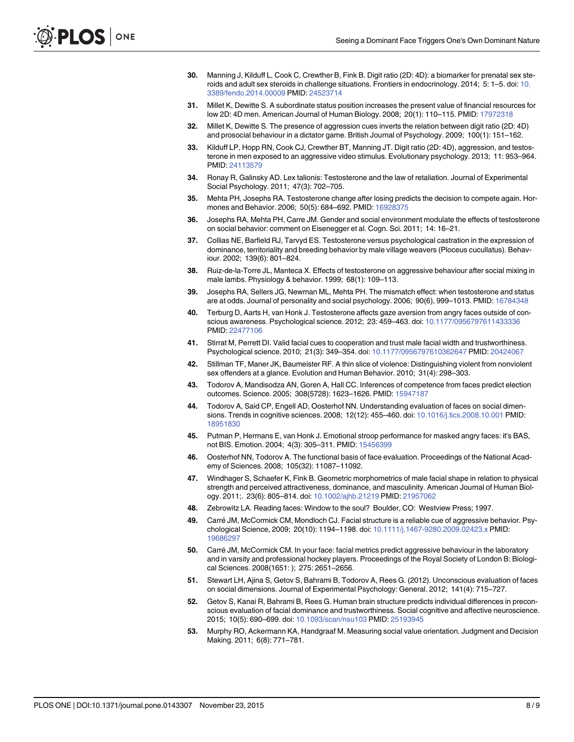- <span id="page-8-0"></span>[30.](#page-2-0) Manning J, Kilduff L, Cook C, Crewther B, Fink B. Digit ratio (2D: 4D): a biomarker for prenatal sex steroids and adult sex steroids in challenge situations. Frontiers in endocrinology. 2014; 5: 1–5. doi: [10.](http://dx.doi.org/10.3389/fendo.2014.00009) [3389/fendo.2014.00009](http://dx.doi.org/10.3389/fendo.2014.00009) PMID: [24523714](http://www.ncbi.nlm.nih.gov/pubmed/24523714)
- [31.](#page-2-0) Millet K, Dewitte S. A subordinate status position increases the present value of financial resources for low 2D: 4D men. American Journal of Human Biology. 2008; 20(1): 110–115. PMID: [17972318](http://www.ncbi.nlm.nih.gov/pubmed/17972318)
- [32.](#page-2-0) Millet K, Dewitte S. The presence of aggression cues inverts the relation between digit ratio (2D: 4D) and prosocial behaviour in a dictator game. British Journal of Psychology. 2009; 100(1): 151–162.
- [33.](#page-2-0) Kilduff LP, Hopp RN, Cook CJ, Crewther BT, Manning JT. Digit ratio (2D: 4D), aggression, and testosterone in men exposed to an aggressive video stimulus. Evolutionary psychology. 2013; 11: 953–964. PMID: [24113579](http://www.ncbi.nlm.nih.gov/pubmed/24113579)
- [34.](#page-2-0) Ronay R, Galinsky AD. Lex talionis: Testosterone and the law of retaliation. Journal of Experimental Social Psychology. 2011; 47(3): 702–705.
- [35.](#page-2-0) Mehta PH, Josephs RA. Testosterone change after losing predicts the decision to compete again. Hormones and Behavior. 2006; 50(5): 684–692. PMID: [16928375](http://www.ncbi.nlm.nih.gov/pubmed/16928375)
- [36.](#page-2-0) Josephs RA, Mehta PH, Carre JM. Gender and social environment modulate the effects of testosterone on social behavior: comment on Eisenegger et al. Cogn. Sci. 2011; 14: 16–21.
- [37.](#page-2-0) Collias NE, Barfield RJ, Tarvyd ES. Testosterone versus psychological castration in the expression of dominance, territoriality and breeding behavior by male village weavers (Ploceus cucullatus). Behaviour. 2002; 139(6): 801–824.
- [38.](#page-2-0) Ruiz-de-la-Torre JL, Manteca X. Effects of testosterone on aggressive behaviour after social mixing in male lambs. Physiology & behavior. 1999; 68(1): 109–113.
- [39.](#page-2-0) Josephs RA, Sellers JG, Newman ML, Mehta PH. The mismatch effect: when testosterone and status are at odds. Journal of personality and social psychology. 2006; 90(6), 999–1013. PMID: [16784348](http://www.ncbi.nlm.nih.gov/pubmed/16784348)
- [40.](#page-2-0) Terburg D, Aarts H, van Honk J. Testosterone affects gaze aversion from angry faces outside of conscious awareness. Psychological science. 2012; 23: 459–463. doi: [10.1177/0956797611433336](http://dx.doi.org/10.1177/0956797611433336) PMID: [22477106](http://www.ncbi.nlm.nih.gov/pubmed/22477106)
- [41.](#page-2-0) Stirrat M, Perrett DI. Valid facial cues to cooperation and trust male facial width and trustworthiness. Psychological science. 2010; 21(3): 349–354. doi: [10.1177/0956797610362647](http://dx.doi.org/10.1177/0956797610362647) PMID: [20424067](http://www.ncbi.nlm.nih.gov/pubmed/20424067)
- [42.](#page-2-0) Stillman TF, Maner JK, Baumeister RF. A thin slice of violence: Distinguishing violent from nonviolent sex offenders at a glance. Evolution and Human Behavior. 2010; 31(4): 298–303.
- [43.](#page-2-0) Todorov A, Mandisodza AN, Goren A, Hall CC. Inferences of competence from faces predict election outcomes. Science. 2005; 308(5728): 1623–1626. PMID: [15947187](http://www.ncbi.nlm.nih.gov/pubmed/15947187)
- [44.](#page-3-0) Todorov A, Said CP, Engell AD, Oosterhof NN. Understanding evaluation of faces on social dimensions. Trends in cognitive sciences. 2008; 12(12): 455–460. doi: [10.1016/j.tics.2008.10.001](http://dx.doi.org/10.1016/j.tics.2008.10.001) PMID: [18951830](http://www.ncbi.nlm.nih.gov/pubmed/18951830)
- [45.](#page-3-0) Putman P, Hermans E, van Honk J. Emotional stroop performance for masked angry faces: it's BAS, not BIS. Emotion. 2004; 4(3): 305–311. PMID: [15456399](http://www.ncbi.nlm.nih.gov/pubmed/15456399)
- [46.](#page-3-0) Oosterhof NN, Todorov A. The functional basis of face evaluation. Proceedings of the National Academy of Sciences. 2008; 105(32): 11087–11092.
- [47.](#page-3-0) Windhager S, Schaefer K, Fink B. Geometric morphometrics of male facial shape in relation to physical strength and perceived attractiveness, dominance, and masculinity. American Journal of Human Biology. 2011;. 23(6): 805–814. doi: [10.1002/ajhb.21219](http://dx.doi.org/10.1002/ajhb.21219) PMID: [21957062](http://www.ncbi.nlm.nih.gov/pubmed/21957062)
- [48.](#page-3-0) Zebrowitz LA. Reading faces: Window to the soul? Boulder, CO: Westview Press; 1997.
- [49.](#page-3-0) Carré JM, McCormick CM, Mondloch CJ. Facial structure is a reliable cue of aggressive behavior. Psychological Science, 2009; 20(10): 1194–1198. doi: [10.1111/j.1467-9280.2009.02423.x](http://dx.doi.org/10.1111/j.1467-9280.2009.02423.x) PMID: [19686297](http://www.ncbi.nlm.nih.gov/pubmed/19686297)
- [50.](#page-3-0) Carré JM, McCormick CM. In your face: facial metrics predict aggressive behaviour in the laboratory and in varsity and professional hockey players. Proceedings of the Royal Society of London B: Biological Sciences. 2008(1651: ); 275: 2651–2656.
- [51.](#page-3-0) Stewart LH, Ajina S, Getov S, Bahrami B, Todorov A, Rees G. (2012). Unconscious evaluation of faces on social dimensions. Journal of Experimental Psychology: General. 2012; 141(4): 715–727.
- [52.](#page-3-0) Getov S, Kanai R, Bahrami B, Rees G. Human brain structure predicts individual differences in preconscious evaluation of facial dominance and trustworthiness. Social cognitive and affective neuroscience. 2015; 10(5): 690–699. doi: [10.1093/scan/nsu103](http://dx.doi.org/10.1093/scan/nsu103) PMID: [25193945](http://www.ncbi.nlm.nih.gov/pubmed/25193945)
- [53.](#page-3-0) Murphy RO, Ackermann KA, Handgraaf M. Measuring social value orientation. Judgment and Decision Making. 2011; 6(8): 771–781.